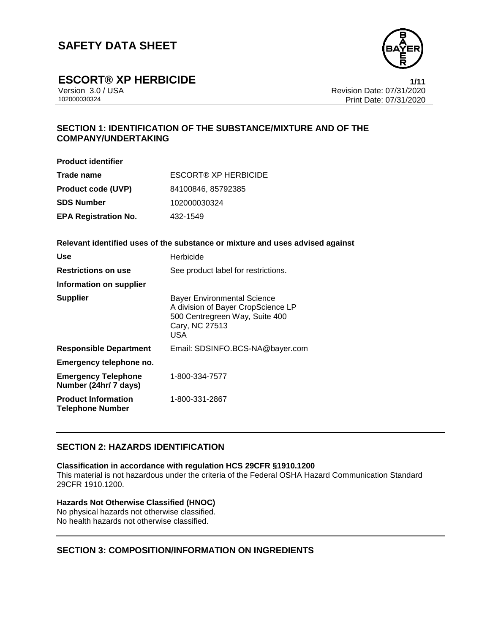

**ESCORT® XP HERBICIDE 1/11**

Version 3.0 / USA Revision Date: 07/31/2020 Print Date: 07/31/2020

# **SECTION 1: IDENTIFICATION OF THE SUBSTANCE/MIXTURE AND OF THE COMPANY/UNDERTAKING**

**Product identifier**

| Trade name                  | ESCORT® XP HERBICIDE |
|-----------------------------|----------------------|
| <b>Product code (UVP)</b>   | 84100846, 85792385   |
| <b>SDS Number</b>           | 102000030324         |
| <b>EPA Registration No.</b> | 432-1549             |

**Relevant identified uses of the substance or mixture and uses advised against**

| Use                                                   | Herbicide                                                                                                                                  |
|-------------------------------------------------------|--------------------------------------------------------------------------------------------------------------------------------------------|
| <b>Restrictions on use</b>                            | See product label for restrictions.                                                                                                        |
| Information on supplier                               |                                                                                                                                            |
| <b>Supplier</b>                                       | <b>Bayer Environmental Science</b><br>A division of Bayer CropScience LP<br>500 Centregreen Way, Suite 400<br>Cary, NC 27513<br><b>USA</b> |
| <b>Responsible Department</b>                         | Email: SDSINFO.BCS-NA@bayer.com                                                                                                            |
| Emergency telephone no.                               |                                                                                                                                            |
| <b>Emergency Telephone</b><br>Number (24hr/ 7 days)   | 1-800-334-7577                                                                                                                             |
| <b>Product Information</b><br><b>Telephone Number</b> | 1-800-331-2867                                                                                                                             |

## **SECTION 2: HAZARDS IDENTIFICATION**

## **Classification in accordance with regulation HCS 29CFR §1910.1200**

This material is not hazardous under the criteria of the Federal OSHA Hazard Communication Standard 29CFR 1910.1200.

## **Hazards Not Otherwise Classified (HNOC)**

No physical hazards not otherwise classified. No health hazards not otherwise classified.

## **SECTION 3: COMPOSITION/INFORMATION ON INGREDIENTS**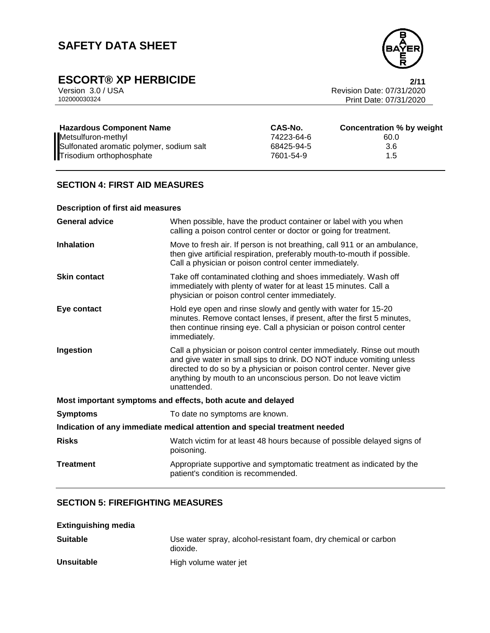

# **ESCORT® XP HERBICIDE**<br>Version 3.0 / USA **2/11**<br>Revision Date: 07/31/2020

Version 3.0 / USA Revision Date: 07/31/2020<br>102000030324<br>Print Date: 07/31/2020 Print Date: 07/31/2020

| <b>Hazardous Component Name</b>          | CAS-No.    | Concentration % by weight |
|------------------------------------------|------------|---------------------------|
| Metsulfuron-methyl                       | 74223-64-6 | 60.0                      |
| Sulfonated aromatic polymer, sodium salt | 68425-94-5 | 3.6                       |
| Trisodium orthophosphate                 | 7601-54-9  | 1.5                       |

## **SECTION 4: FIRST AID MEASURES**

## **Description of first aid measures**

| <b>General advice</b>                                                      | When possible, have the product container or label with you when<br>calling a poison control center or doctor or going for treatment.                                                                                                                                                                     |  |
|----------------------------------------------------------------------------|-----------------------------------------------------------------------------------------------------------------------------------------------------------------------------------------------------------------------------------------------------------------------------------------------------------|--|
| <b>Inhalation</b>                                                          | Move to fresh air. If person is not breathing, call 911 or an ambulance,<br>then give artificial respiration, preferably mouth-to-mouth if possible.<br>Call a physician or poison control center immediately.                                                                                            |  |
| <b>Skin contact</b>                                                        | Take off contaminated clothing and shoes immediately. Wash off<br>immediately with plenty of water for at least 15 minutes. Call a<br>physician or poison control center immediately.                                                                                                                     |  |
| Eye contact                                                                | Hold eye open and rinse slowly and gently with water for 15-20<br>minutes. Remove contact lenses, if present, after the first 5 minutes,<br>then continue rinsing eye. Call a physician or poison control center<br>immediately.                                                                          |  |
| Ingestion                                                                  | Call a physician or poison control center immediately. Rinse out mouth<br>and give water in small sips to drink. DO NOT induce vomiting unless<br>directed to do so by a physician or poison control center. Never give<br>anything by mouth to an unconscious person. Do not leave victim<br>unattended. |  |
| Most important symptoms and effects, both acute and delayed                |                                                                                                                                                                                                                                                                                                           |  |
| <b>Symptoms</b>                                                            | To date no symptoms are known.                                                                                                                                                                                                                                                                            |  |
| Indication of any immediate medical attention and special treatment needed |                                                                                                                                                                                                                                                                                                           |  |
| <b>Risks</b>                                                               | Watch victim for at least 48 hours because of possible delayed signs of<br>poisoning.                                                                                                                                                                                                                     |  |
| <b>Treatment</b>                                                           | Appropriate supportive and symptomatic treatment as indicated by the<br>patient's condition is recommended.                                                                                                                                                                                               |  |

## **SECTION 5: FIREFIGHTING MEASURES**

| <b>Extinguishing media</b> |                                                                             |
|----------------------------|-----------------------------------------------------------------------------|
| <b>Suitable</b>            | Use water spray, alcohol-resistant foam, dry chemical or carbon<br>dioxide. |
| <b>Unsuitable</b>          | High volume water jet                                                       |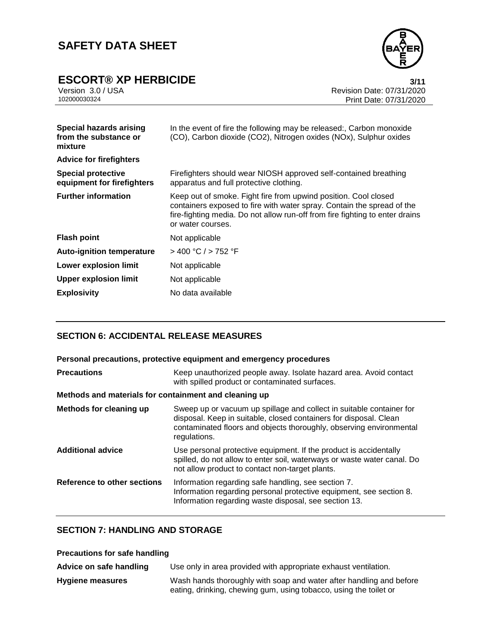

# **ESCORT® XP HERBICIDE**<br>Version 3.0 / USA **111**<br>Revision Date: 07/31/2020

Version 3.0 / USA Revision Date: 07/31/2020<br>102000030324<br>Print Date: 07/31/2020 Print Date: 07/31/2020

| <b>Special hazards arising</b><br>from the substance or<br>mixture | In the event of fire the following may be released:, Carbon monoxide<br>(CO), Carbon dioxide (CO2), Nitrogen oxides (NOx), Sulphur oxides                                                                                                      |
|--------------------------------------------------------------------|------------------------------------------------------------------------------------------------------------------------------------------------------------------------------------------------------------------------------------------------|
| <b>Advice for firefighters</b>                                     |                                                                                                                                                                                                                                                |
| <b>Special protective</b><br>equipment for firefighters            | Firefighters should wear NIOSH approved self-contained breathing<br>apparatus and full protective clothing.                                                                                                                                    |
| <b>Further information</b>                                         | Keep out of smoke. Fight fire from upwind position. Cool closed<br>containers exposed to fire with water spray. Contain the spread of the<br>fire-fighting media. Do not allow run-off from fire fighting to enter drains<br>or water courses. |
| <b>Flash point</b>                                                 | Not applicable                                                                                                                                                                                                                                 |
| <b>Auto-ignition temperature</b>                                   | $>$ 400 °C / $>$ 752 °F                                                                                                                                                                                                                        |
| Lower explosion limit                                              | Not applicable                                                                                                                                                                                                                                 |
| <b>Upper explosion limit</b>                                       | Not applicable                                                                                                                                                                                                                                 |
| <b>Explosivity</b>                                                 | No data available                                                                                                                                                                                                                              |
|                                                                    |                                                                                                                                                                                                                                                |

## **SECTION 6: ACCIDENTAL RELEASE MEASURES**

| Personal precautions, protective equipment and emergency procedures |                                                                                                                                                                                                                                  |  |
|---------------------------------------------------------------------|----------------------------------------------------------------------------------------------------------------------------------------------------------------------------------------------------------------------------------|--|
| <b>Precautions</b>                                                  | Keep unauthorized people away. Isolate hazard area. Avoid contact<br>with spilled product or contaminated surfaces.                                                                                                              |  |
| Methods and materials for containment and cleaning up               |                                                                                                                                                                                                                                  |  |
| Methods for cleaning up                                             | Sweep up or vacuum up spillage and collect in suitable container for<br>disposal. Keep in suitable, closed containers for disposal. Clean<br>contaminated floors and objects thoroughly, observing environmental<br>regulations. |  |
| <b>Additional advice</b>                                            | Use personal protective equipment. If the product is accidentally<br>spilled, do not allow to enter soil, waterways or waste water canal. Do<br>not allow product to contact non-target plants.                                  |  |
| Reference to other sections                                         | Information regarding safe handling, see section 7.<br>Information regarding personal protective equipment, see section 8.<br>Information regarding waste disposal, see section 13.                                              |  |

# **SECTION 7: HANDLING AND STORAGE**

## **Precautions for safe handling**

| Advice on safe handling | Use only in area provided with appropriate exhaust ventilation.                                                                          |
|-------------------------|------------------------------------------------------------------------------------------------------------------------------------------|
| <b>Hygiene measures</b> | Wash hands thoroughly with soap and water after handling and before<br>eating, drinking, chewing gum, using tobacco, using the toilet or |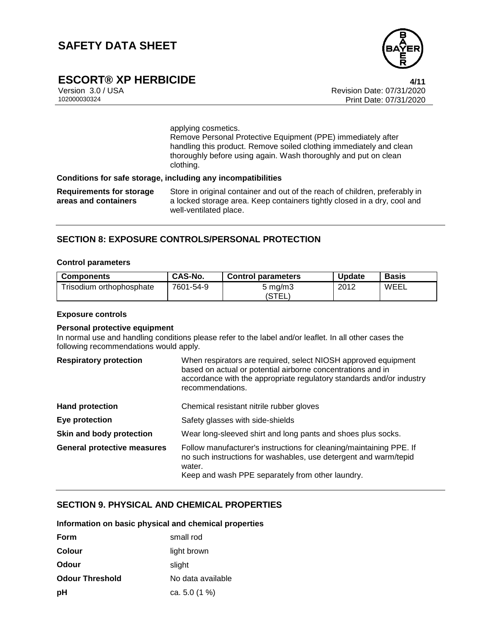

# **ESCORT® XP HERBICIDE 4/11**

Version 3.0 / USA Revision Date: 07/31/2020<br>102000030324<br>Print Date: 07/31/2020 Print Date: 07/31/2020

applying cosmetics.

Remove Personal Protective Equipment (PPE) immediately after handling this product. Remove soiled clothing immediately and clean thoroughly before using again. Wash thoroughly and put on clean clothing.

## **Conditions for safe storage, including any incompatibilities**

**Requirements for storage areas and containers** Store in original container and out of the reach of children, preferably in a locked storage area. Keep containers tightly closed in a dry, cool and well-ventilated place.

## **SECTION 8: EXPOSURE CONTROLS/PERSONAL PROTECTION**

#### **Control parameters**

| <b>Components</b>        | CAS-No.   | <b>Control parameters</b> | <b>Update</b> | <b>Basis</b> |
|--------------------------|-----------|---------------------------|---------------|--------------|
| Trisodium orthophosphate | 7601-54-9 | 5 ma/m3                   | 2012          | WEEL         |
|                          |           | <i>'</i> STEL.            |               |              |

#### **Exposure controls**

#### **Personal protective equipment**

In normal use and handling conditions please refer to the label and/or leaflet. In all other cases the following recommendations would apply.

| <b>Respiratory protection</b>      | When respirators are required, select NIOSH approved equipment<br>based on actual or potential airborne concentrations and in<br>accordance with the appropriate regulatory standards and/or industry<br>recommendations. |
|------------------------------------|---------------------------------------------------------------------------------------------------------------------------------------------------------------------------------------------------------------------------|
| <b>Hand protection</b>             | Chemical resistant nitrile rubber gloves                                                                                                                                                                                  |
| Eye protection                     | Safety glasses with side-shields                                                                                                                                                                                          |
| Skin and body protection           | Wear long-sleeved shirt and long pants and shoes plus socks.                                                                                                                                                              |
| <b>General protective measures</b> | Follow manufacturer's instructions for cleaning/maintaining PPE. If<br>no such instructions for washables, use detergent and warm/tepid<br>water.<br>Keep and wash PPE separately from other laundry.                     |

### **SECTION 9. PHYSICAL AND CHEMICAL PROPERTIES**

## **Information on basic physical and chemical properties**

| Form                   | small rod         |
|------------------------|-------------------|
| Colour                 | light brown       |
| Odour                  | slight            |
| <b>Odour Threshold</b> | No data available |
| рH                     | ca. 5.0 $(1\%$ )  |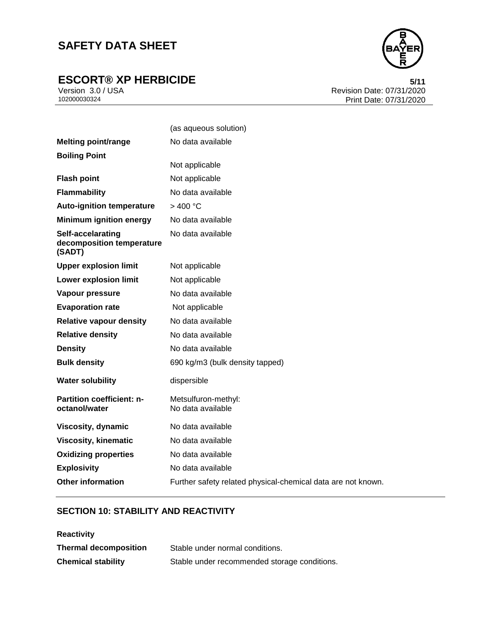# **ESCORT® XP HERBICIDE**<br>Version 3.0 / USA **6/11**<br>Revision Date: 07/31/2020



Version 3.0 / USA Revision Date: 07/31/2020 Print Date: 07/31/2020

|                                                          | (as aqueous solution)                                        |
|----------------------------------------------------------|--------------------------------------------------------------|
| <b>Melting point/range</b>                               | No data available                                            |
| <b>Boiling Point</b>                                     |                                                              |
|                                                          | Not applicable                                               |
| <b>Flash point</b>                                       | Not applicable                                               |
| <b>Flammability</b>                                      | No data available                                            |
| <b>Auto-ignition temperature</b>                         | $>$ 400 °C                                                   |
| <b>Minimum ignition energy</b>                           | No data available                                            |
| Self-accelarating<br>decomposition temperature<br>(SADT) | No data available                                            |
| <b>Upper explosion limit</b>                             | Not applicable                                               |
| <b>Lower explosion limit</b>                             | Not applicable                                               |
| Vapour pressure                                          | No data available                                            |
| <b>Evaporation rate</b>                                  | Not applicable                                               |
| <b>Relative vapour density</b>                           | No data available                                            |
| <b>Relative density</b>                                  | No data available                                            |
| <b>Density</b>                                           | No data available                                            |
| <b>Bulk density</b>                                      | 690 kg/m3 (bulk density tapped)                              |
| <b>Water solubility</b>                                  | dispersible                                                  |
| <b>Partition coefficient: n-</b><br>octanol/water        | Metsulfuron-methyl:<br>No data available                     |
| Viscosity, dynamic                                       | No data available                                            |
| <b>Viscosity, kinematic</b>                              | No data available                                            |
| <b>Oxidizing properties</b>                              | No data available                                            |
| <b>Explosivity</b>                                       | No data available                                            |
| <b>Other information</b>                                 | Further safety related physical-chemical data are not known. |

# **SECTION 10: STABILITY AND REACTIVITY**

| <b>Reactivity</b>            |                                              |
|------------------------------|----------------------------------------------|
| <b>Thermal decomposition</b> | Stable under normal conditions.              |
| <b>Chemical stability</b>    | Stable under recommended storage conditions. |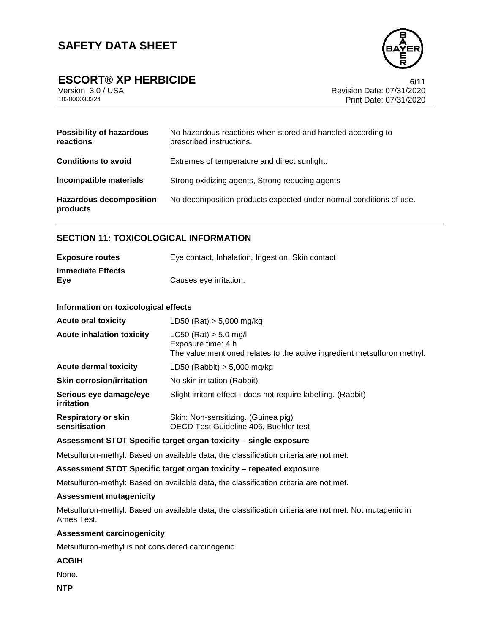

# **ESCORT® XP HERBICIDE 6/11**

| Version 3.0 / USA |  |  |
|-------------------|--|--|
| 102000030324      |  |  |

Revision Date: 07/31/2020 Print Date: 07/31/2020

| <b>Possibility of hazardous</b><br>reactions | No hazardous reactions when stored and handled according to<br>prescribed instructions. |
|----------------------------------------------|-----------------------------------------------------------------------------------------|
| <b>Conditions to avoid</b>                   | Extremes of temperature and direct sunlight.                                            |
| Incompatible materials                       | Strong oxidizing agents, Strong reducing agents                                         |
| <b>Hazardous decomposition</b><br>products   | No decomposition products expected under normal conditions of use.                      |

## **SECTION 11: TOXICOLOGICAL INFORMATION**

| <b>Exposure routes</b>          | Eye contact, Inhalation, Ingestion, Skin contact |
|---------------------------------|--------------------------------------------------|
| <b>Immediate Effects</b><br>Eve | Causes eve irritation.                           |

#### **Information on toxicological effects**

| <b>Acute oral toxicity</b>                  | LD50 (Rat) $> 5,000$ mg/kg                                                                                                  |
|---------------------------------------------|-----------------------------------------------------------------------------------------------------------------------------|
| <b>Acute inhalation toxicity</b>            | $LC50$ (Rat) $> 5.0$ mg/l<br>Exposure time: 4 h<br>The value mentioned relates to the active ingredient metsulfuron methyl. |
| <b>Acute dermal toxicity</b>                | LD50 (Rabbit) $> 5,000$ mg/kg                                                                                               |
| <b>Skin corrosion/irritation</b>            | No skin irritation (Rabbit)                                                                                                 |
| Serious eye damage/eye<br>irritation        | Slight irritant effect - does not require labelling. (Rabbit)                                                               |
| <b>Respiratory or skin</b><br>sensitisation | Skin: Non-sensitizing. (Guinea pig)<br>OECD Test Guideline 406, Buehler test                                                |

### **Assessment STOT Specific target organ toxicity – single exposure**

Metsulfuron-methyl: Based on available data, the classification criteria are not met.

#### **Assessment STOT Specific target organ toxicity – repeated exposure**

Metsulfuron-methyl: Based on available data, the classification criteria are not met.

### **Assessment mutagenicity**

Metsulfuron-methyl: Based on available data, the classification criteria are not met. Not mutagenic in Ames Test.

#### **Assessment carcinogenicity**

Metsulfuron-methyl is not considered carcinogenic.

#### **ACGIH**

None.

**NTP**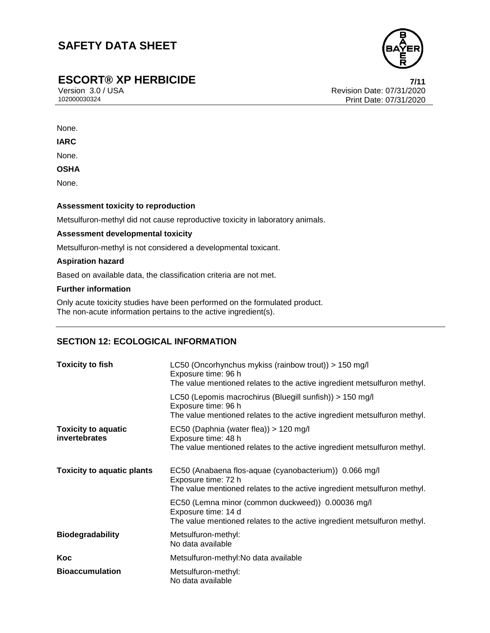

# **ESCORT® XP HERBICIDE 7/11**

Version 3.0 / USA Revision Date: 07/31/2020 Print Date: 07/31/2020

None.

**IARC**

None.

**OSHA**

None.

### **Assessment toxicity to reproduction**

Metsulfuron-methyl did not cause reproductive toxicity in laboratory animals.

### **Assessment developmental toxicity**

Metsulfuron-methyl is not considered a developmental toxicant.

## **Aspiration hazard**

Based on available data, the classification criteria are not met.

#### **Further information**

Only acute toxicity studies have been performed on the formulated product. The non-acute information pertains to the active ingredient(s).

# **SECTION 12: ECOLOGICAL INFORMATION**

| <b>Toxicity to fish</b>                            | LC50 (Oncorhynchus mykiss (rainbow trout)) > 150 mg/l<br>Exposure time: 96 h<br>The value mentioned relates to the active ingredient metsulfuron methyl.    |  |
|----------------------------------------------------|-------------------------------------------------------------------------------------------------------------------------------------------------------------|--|
|                                                    | LC50 (Lepomis macrochirus (Bluegill sunfish)) > 150 mg/l<br>Exposure time: 96 h<br>The value mentioned relates to the active ingredient metsulfuron methyl. |  |
| <b>Toxicity to aquatic</b><br><i>invertebrates</i> | EC50 (Daphnia (water flea)) > 120 mg/l<br>Exposure time: 48 h<br>The value mentioned relates to the active ingredient metsulfuron methyl.                   |  |
| <b>Toxicity to aquatic plants</b>                  | EC50 (Anabaena flos-aquae (cyanobacterium)) 0.066 mg/l<br>Exposure time: 72 h<br>The value mentioned relates to the active ingredient metsulfuron methyl.   |  |
|                                                    | EC50 (Lemna minor (common duckweed)) 0.00036 mg/l<br>Exposure time: 14 d<br>The value mentioned relates to the active ingredient metsulfuron methyl.        |  |
| <b>Biodegradability</b>                            | Metsulfuron-methyl:<br>No data available                                                                                                                    |  |
| Koc                                                | Metsulfuron-methyl: No data available                                                                                                                       |  |
| <b>Bioaccumulation</b>                             | Metsulfuron-methyl:<br>No data available                                                                                                                    |  |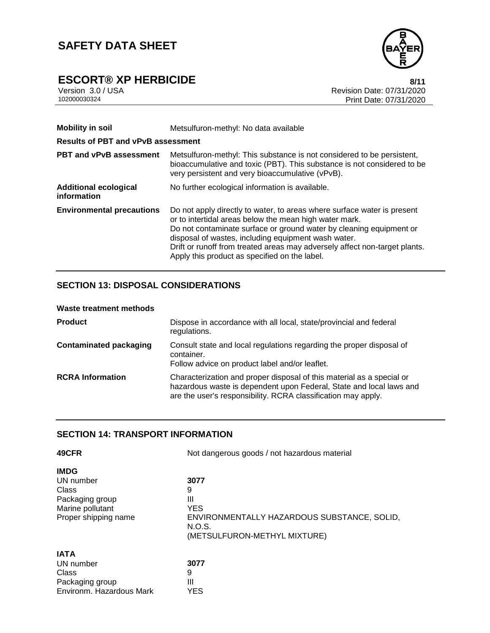

# **ESCORT® XP HERBICIDE**<br>Version 3.0 / USA **8/11**<br>Revision Date: 07/31/2020

Version 3.0 / USA Revision Date: 07/31/2020<br>102000030324<br>Print Date: 07/31/2020 Print Date: 07/31/2020

| <b>Mobility in soil</b><br><b>Results of PBT and vPvB assessment</b> | Metsulfuron-methyl: No data available                                                                                                                                                                                                                                                                                                                                                          |  |  |
|----------------------------------------------------------------------|------------------------------------------------------------------------------------------------------------------------------------------------------------------------------------------------------------------------------------------------------------------------------------------------------------------------------------------------------------------------------------------------|--|--|
| <b>PBT and vPvB assessment</b>                                       | Metsulfuron-methyl: This substance is not considered to be persistent,<br>bioaccumulative and toxic (PBT). This substance is not considered to be<br>very persistent and very bioaccumulative (vPvB).                                                                                                                                                                                          |  |  |
| <b>Additional ecological</b><br>information                          | No further ecological information is available.                                                                                                                                                                                                                                                                                                                                                |  |  |
| <b>Environmental precautions</b>                                     | Do not apply directly to water, to areas where surface water is present<br>or to intertidal areas below the mean high water mark.<br>Do not contaminate surface or ground water by cleaning equipment or<br>disposal of wastes, including equipment wash water.<br>Drift or runoff from treated areas may adversely affect non-target plants.<br>Apply this product as specified on the label. |  |  |

## **SECTION 13: DISPOSAL CONSIDERATIONS**

| <b>Product</b>                | Dispose in accordance with all local, state/provincial and federal<br>regulations.                                                                                                                            |
|-------------------------------|---------------------------------------------------------------------------------------------------------------------------------------------------------------------------------------------------------------|
| <b>Contaminated packaging</b> | Consult state and local regulations regarding the proper disposal of<br>container.<br>Follow advice on product label and/or leaflet.                                                                          |
| <b>RCRA</b> Information       | Characterization and proper disposal of this material as a special or<br>hazardous waste is dependent upon Federal, State and local laws and<br>are the user's responsibility. RCRA classification may apply. |

## **SECTION 14: TRANSPORT INFORMATION**

| 49CFR                    | Not dangerous goods / not hazardous material |  |
|--------------------------|----------------------------------------------|--|
| <b>IMDG</b>              |                                              |  |
| UN number                | 3077                                         |  |
| Class                    | 9                                            |  |
| Packaging group          | Ш                                            |  |
| Marine pollutant         | <b>YES</b>                                   |  |
| Proper shipping name     | ENVIRONMENTALLY HAZARDOUS SUBSTANCE, SOLID,  |  |
|                          | N.O.S.                                       |  |
|                          | (METSULFURON-METHYL MIXTURE)                 |  |
| <b>IATA</b>              |                                              |  |
| UN number                | 3077                                         |  |
| Class                    | 9                                            |  |
| Packaging group          | Ш                                            |  |
| Environm. Hazardous Mark | YES                                          |  |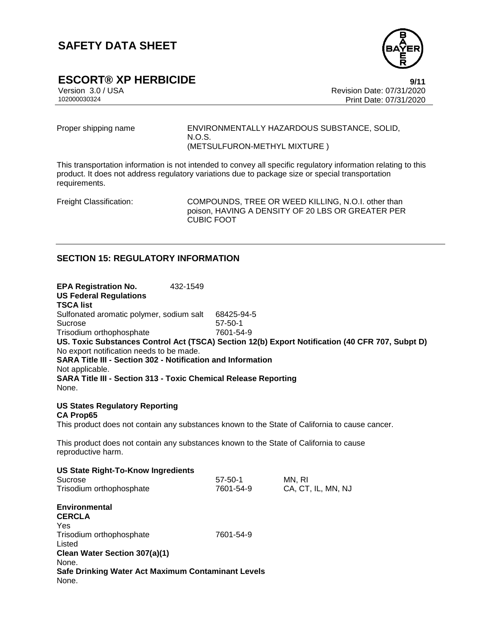

# **ESCORT® XP HERBICIDE**<br>
Version 3.0 / USA **Property Secure 2011** Revision Date: 07/31/2020

Version 3.0 / USA Revision Date: 07/31/2020 Print Date: 07/31/2020

Proper shipping name **ENVIRONMENTALLY HAZARDOUS SUBSTANCE, SOLID,** N.O.S. (METSULFURON-METHYL MIXTURE )

This transportation information is not intended to convey all specific regulatory information relating to this product. It does not address regulatory variations due to package size or special transportation requirements.

Freight Classification: COMPOUNDS, TREE OR WEED KILLING, N.O.I. other than poison, HAVING A DENSITY OF 20 LBS OR GREATER PER CUBIC FOOT

## **SECTION 15: REGULATORY INFORMATION**

**EPA Registration No.** 432-1549 **US Federal Regulations TSCA list** Sulfonated aromatic polymer, sodium salt 68425-94-5 Sucrose 57-50-1 Trisodium orthophosphate 7601-54-9 **US. Toxic Substances Control Act (TSCA) Section 12(b) Export Notification (40 CFR 707, Subpt D)** No export notification needs to be made. **SARA Title III - Section 302 - Notification and Information** Not applicable. **SARA Title III - Section 313 - Toxic Chemical Release Reporting** None. **US States Regulatory Reporting CA Prop65** This product does not contain any substances known to the State of California to cause cancer. This product does not contain any substances known to the State of California to cause reproductive harm. **US State Right-To-Know Ingredients** Sucrose 57-50-1 MN, RI Trisodium orthophosphate 7601-54-9 CA, CT, IL, MN, NJ **Environmental CERCLA** Yes Trisodium orthophosphate 7601-54-9 Listed **Clean Water Section 307(a)(1)** None. **Safe Drinking Water Act Maximum Contaminant Levels** None.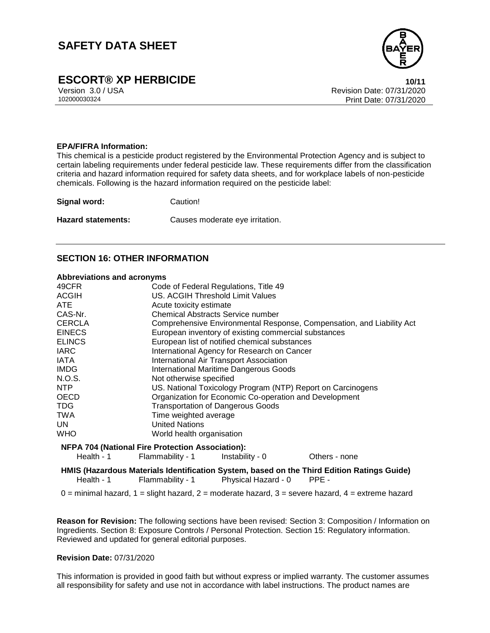

# **ESCORT® XP HERBICIDE 10/11**

Version 3.0 / USA Revision Date: 07/31/2020<br>102000030324<br>Print Date: 07/31/2020 Print Date: 07/31/2020

#### **EPA/FIFRA Information:**

This chemical is a pesticide product registered by the Environmental Protection Agency and is subject to certain labeling requirements under federal pesticide law. These requirements differ from the classification criteria and hazard information required for safety data sheets, and for workplace labels of non-pesticide chemicals. Following is the hazard information required on the pesticide label:

**Signal word:** Caution!

**Hazard statements:** Causes moderate eye irritation.

# **SECTION 16: OTHER INFORMATION**

#### **Abbreviations and acronyms**

| 49CFR                                                   | Code of Federal Regulations, Title 49                                 |                     |                                                                                                     |
|---------------------------------------------------------|-----------------------------------------------------------------------|---------------------|-----------------------------------------------------------------------------------------------------|
| <b>ACGIH</b>                                            | US. ACGIH Threshold Limit Values                                      |                     |                                                                                                     |
| <b>ATE</b>                                              | Acute toxicity estimate                                               |                     |                                                                                                     |
| CAS-Nr.                                                 | <b>Chemical Abstracts Service number</b>                              |                     |                                                                                                     |
| <b>CERCLA</b>                                           | Comprehensive Environmental Response, Compensation, and Liability Act |                     |                                                                                                     |
| <b>EINECS</b>                                           | European inventory of existing commercial substances                  |                     |                                                                                                     |
| <b>ELINCS</b>                                           | European list of notified chemical substances                         |                     |                                                                                                     |
| <b>IARC</b>                                             | International Agency for Research on Cancer                           |                     |                                                                                                     |
| <b>IATA</b>                                             | <b>International Air Transport Association</b>                        |                     |                                                                                                     |
| <b>IMDG</b>                                             | <b>International Maritime Dangerous Goods</b>                         |                     |                                                                                                     |
| N.O.S.                                                  | Not otherwise specified                                               |                     |                                                                                                     |
| NTP.                                                    | US. National Toxicology Program (NTP) Report on Carcinogens           |                     |                                                                                                     |
| <b>OECD</b>                                             | Organization for Economic Co-operation and Development                |                     |                                                                                                     |
| <b>TDG</b>                                              | <b>Transportation of Dangerous Goods</b>                              |                     |                                                                                                     |
| <b>TWA</b>                                              | Time weighted average                                                 |                     |                                                                                                     |
| UN.                                                     | <b>United Nations</b>                                                 |                     |                                                                                                     |
| <b>WHO</b>                                              | World health organisation                                             |                     |                                                                                                     |
| <b>NFPA 704 (National Fire Protection Association):</b> |                                                                       |                     |                                                                                                     |
| Health - 1                                              | Flammability - 1                                                      | Instability - 0     | Others - none                                                                                       |
| Health - 1                                              | Flammability - 1                                                      | Physical Hazard - 0 | HMIS (Hazardous Materials Identification System, based on the Third Edition Ratings Guide)<br>PPE - |

 $0 =$  minimal hazard,  $1 =$  slight hazard,  $2 =$  moderate hazard,  $3 =$  severe hazard,  $4 =$  extreme hazard

**Reason for Revision:** The following sections have been revised: Section 3: Composition / Information on Ingredients. Section 8: Exposure Controls / Personal Protection. Section 15: Regulatory information. Reviewed and updated for general editorial purposes.

#### **Revision Date:** 07/31/2020

This information is provided in good faith but without express or implied warranty. The customer assumes all responsibility for safety and use not in accordance with label instructions. The product names are